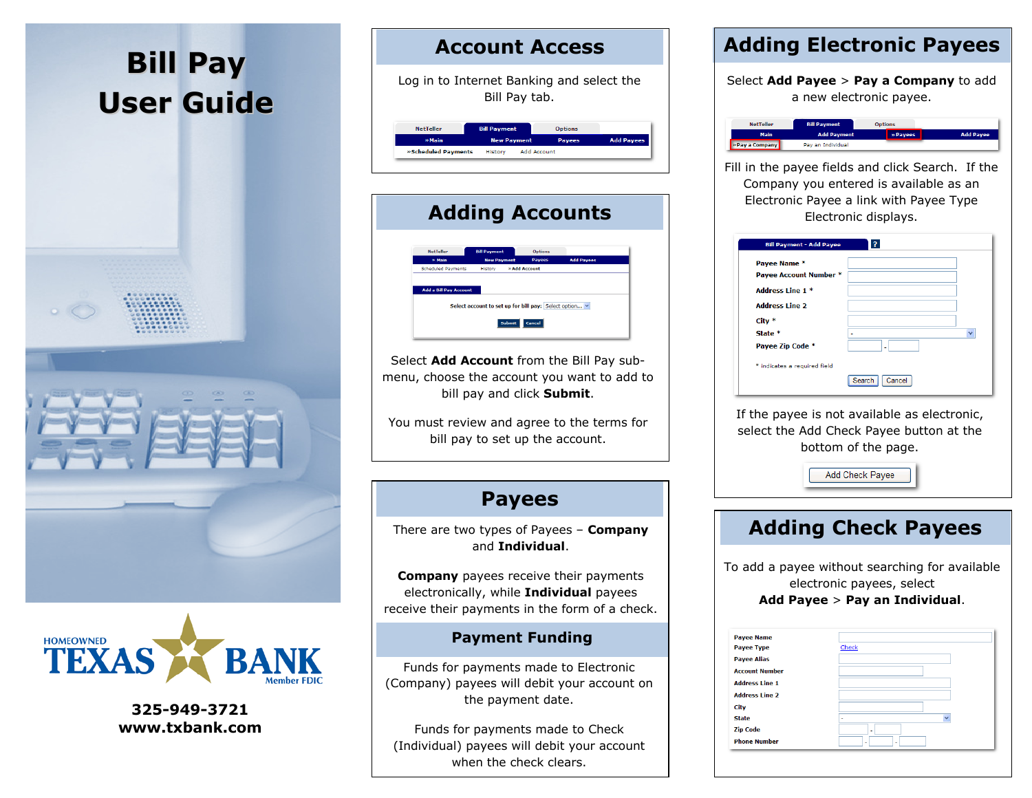



325-949-3721 www.txbank.com

## Account Access

Log in to Internet Banking and select theBill Pay tab.



# Adding Accounts Int to set up for bill pay:  $\boxed{\text{Select option...} \times }$ Submit Cancel

Select Add Account from the Bill Pay sub menu, choose the account you want to add to bill pay and click Submit.

You must review and agree to the terms for bill pay to set up the account.

## Payees

There are two types of Payees – **Company** and Individual.

**Company** payees receive their payments electronically, while Individual payees receive their payments in the form of a check.

#### Payment Funding

Funds for payments made to Electronic (Company) payees will debit your account on the payment date.

Funds for payments made to Check (Individual) payees will debit your account when the check clears.

## Adding Electronic Payees

Select Add Payee  $>$  Pay a Company to add a new electronic payee.



Fill in the payee fields and click Search. If the Company you entered is available as an Electronic Payee a link with Payee Type Electronic displays.

| <b>Bill Payment - Add Payee</b>        | 3                |              |
|----------------------------------------|------------------|--------------|
| Pavee Name *<br>Payee Account Number * |                  |              |
| Address Line 1 *                       |                  |              |
| <b>Address Line 2</b>                  |                  |              |
| $City *$                               |                  |              |
| State *                                | ٠                | $\checkmark$ |
| Payee Zip Code *                       | ٠                |              |
| * indicates a required field           |                  |              |
|                                        | Cancel<br>Search |              |

If the payee is not available as electronic, select the Add Check Payee button at the bottom of the page.

Add Check Payee

## Adding Check Payees

To add a payee without searching for available electronic payees, select Add Payee  $>$  Pay an Individual.

| <b>Phone Number</b>   |                                          |
|-----------------------|------------------------------------------|
| <b>Zip Code</b>       | ٠                                        |
| <b>State</b>          | $\checkmark$<br>$\overline{\phantom{0}}$ |
| City                  |                                          |
| <b>Address Line 2</b> |                                          |
| <b>Address Line 1</b> |                                          |
| <b>Account Number</b> |                                          |
| <b>Payee Alias</b>    |                                          |
| <b>Payee Type</b>     | Check                                    |
| <b>Payee Name</b>     |                                          |